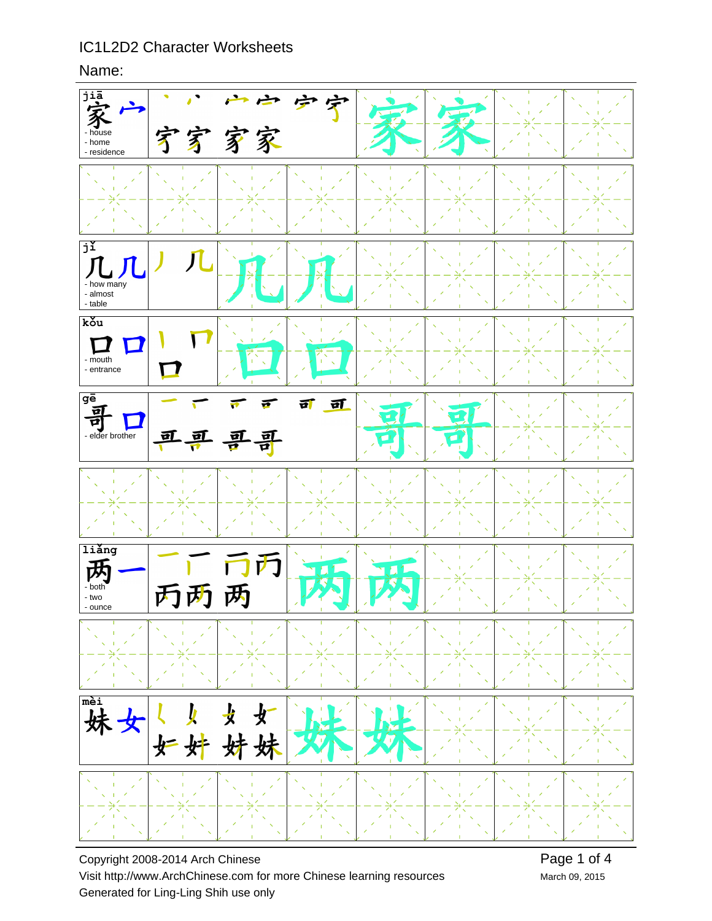Name:



Copyright 2008-2014 Arch Chinese Visit http://www.ArchChinese.com for more Chinese learning resources Generated for Ling-Ling Shih use only

March 09, 2015 Page 1 of 4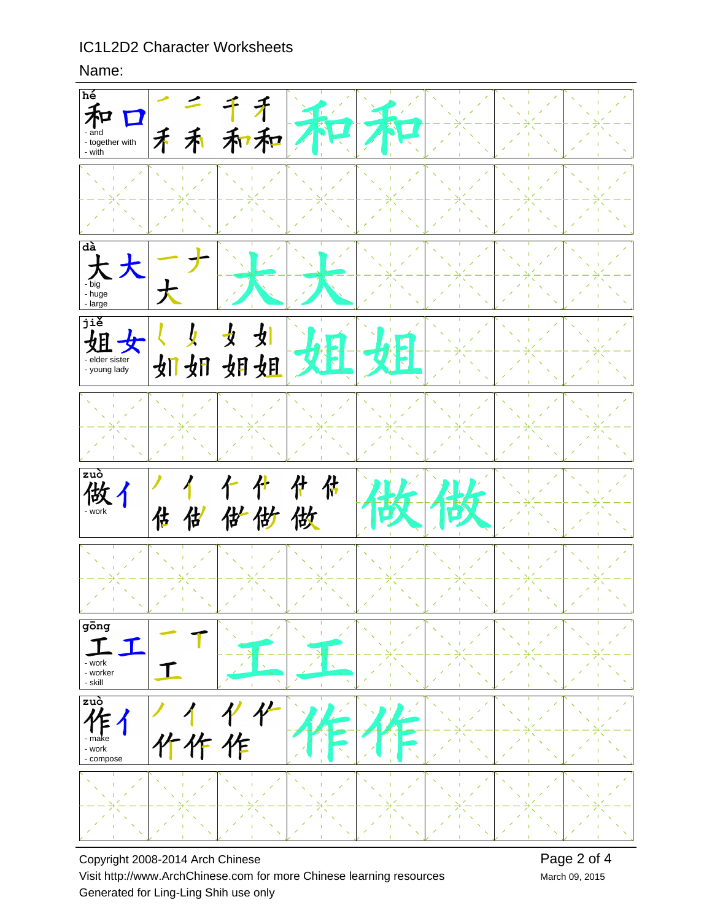### Name:



Copyright 2008-2014 Arch Chinese Visit http://www.ArchChinese.com for more Chinese learning resources Generated for Ling-Ling Shih use only

March 09, 2015 Page 2 of 4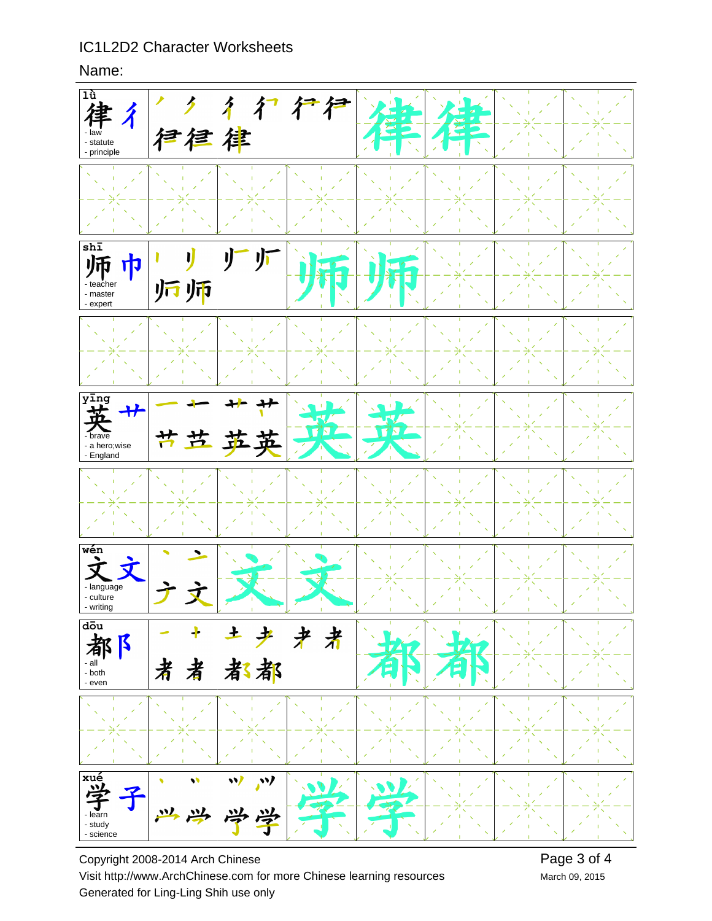#### Name:



Copyright 2008-2014 Arch Chinese Visit http://www.ArchChinese.com for more Chinese learning resources Generated for Ling-Ling Shih use only

March 09, 2015 Page 3 of 4